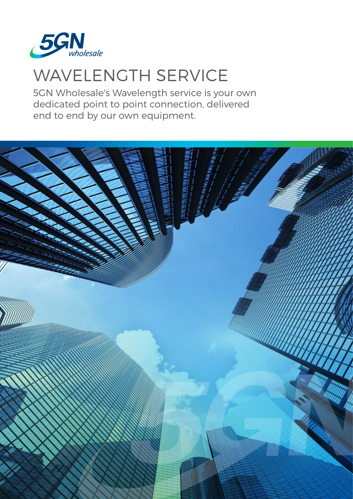

# WAVELENGTH SERVICE

5GN Wholesale's Wavelength service is your own dedicated point to point connection, delivered end to end by our own equipment.

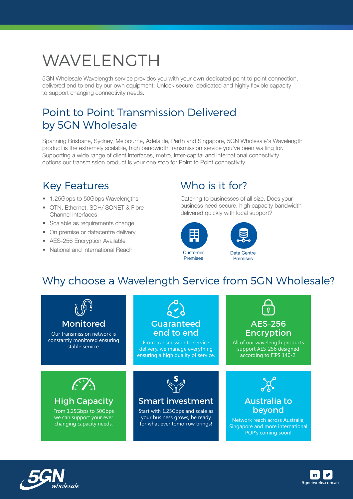# WAVELENGTH

5GN Wholesale Wavelength service provides you with your own dedicated point to point connection, delivered end to end by our own equipment. Unlock secure, dedicated and highly flexible capacity to support changing connectivity needs.

### Point to Point Transmission Delivered by 5GN Wholesale

Spanning Brisbane, Sydney, Melbourne, Adelaide, Perth and Singapore, 5GN Wholesale's Wavelength product is the extremely scalable, high bandwidth transmission service you've been waiting for. Supporting a wide range of client interfaces, metro, inter-capital and international connectivity options our transmission product is your one stop for Point to Point connectivity.

#### Key Features

- 1.25Gbps to 50Gbps Wavelengths
- OTN, Ethernet, SDH/ SONET & Fibre Channel Interfaces
- Scalable as requirements change
- On premise or datacentre delivery
- AES-256 Encryption Available
- National and International Reach

## Who is it for?

Catering to businesses of all size. Does your business need secure, high capacity bandwidth delivered quickly with local support?





### Why choose a Wavelength Service from 5GN Wholesale?